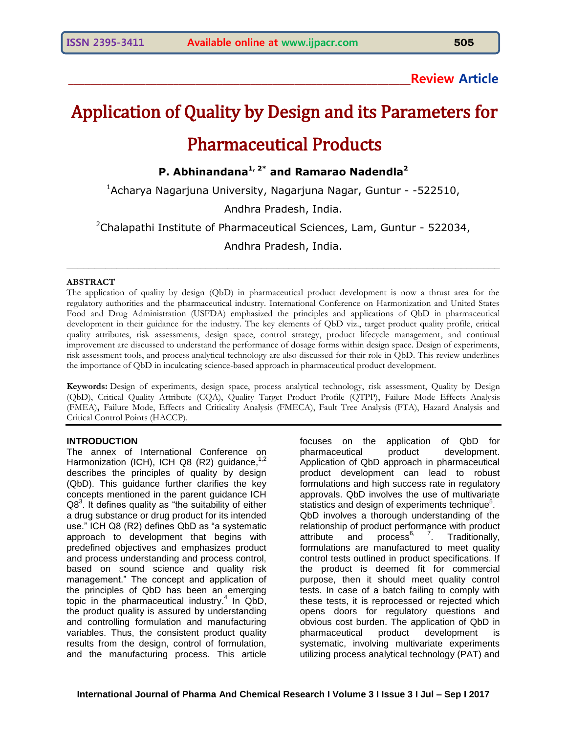**\_\_\_\_\_\_\_\_\_\_\_\_\_\_\_\_\_\_\_\_\_\_\_\_\_\_\_\_\_\_\_\_\_\_\_\_\_\_\_\_\_\_\_\_\_\_\_\_\_\_\_\_\_\_\_\_\_\_\_\_\_\_Review Article**

# Application of Quality by Design and its Parameters for Pharmaceutical Products

**P. Abhinandana1, 2\* and Ramarao Nadendla<sup>2</sup>**

<sup>1</sup>Acharya Nagarjuna University, Nagarjuna Nagar, Guntur - -522510,

Andhra Pradesh, India.

 $2$ Chalapathi Institute of Pharmaceutical Sciences, Lam, Guntur - 522034,

Andhra Pradesh, India. \_\_\_\_\_\_\_\_\_\_\_\_\_\_\_\_\_\_\_\_\_\_\_\_\_\_\_\_\_\_\_\_\_\_\_\_\_\_\_\_\_\_\_\_\_\_\_\_\_\_\_\_\_\_\_\_\_\_\_\_\_\_\_\_\_\_\_\_\_\_\_\_\_\_\_\_\_\_

#### **ABSTRACT**

The application of quality by design (QbD) in pharmaceutical product development is now a thrust area for the regulatory authorities and the pharmaceutical industry. International Conference on Harmonization and United States Food and Drug Administration (USFDA) emphasized the principles and applications of QbD in pharmaceutical development in their guidance for the industry. The key elements of QbD viz., target product quality profile, critical quality attributes, risk assessments, design space, control strategy, product lifecycle management, and continual improvement are discussed to understand the performance of dosage forms within design space. Design of experiments, risk assessment tools, and process analytical technology are also discussed for their role in QbD. This review underlines the importance of QbD in inculcating science-based approach in pharmaceutical product development.

**Keywords:** Design of experiments, design space, process analytical technology, risk assessment, Quality by Design (QbD), Critical Quality Attribute (CQA), Quality Target Product Profile (QTPP), Failure Mode Effects Analysis (FMEA)**,** Failure Mode, Effects and Criticality Analysis (FMECA), Fault Tree Analysis (FTA), Hazard Analysis and Critical Control Points (HACCP).

#### **INTRODUCTION**

The annex of International Conference on Harmonization (ICH), ICH Q8 (R2) guidance,<sup>[1,](https://www.ncbi.nlm.nih.gov/pmc/articles/PMC4991121/#ref1)[2](https://www.ncbi.nlm.nih.gov/pmc/articles/PMC4991121/#ref2)</sup> describes the principles of quality by design (QbD). This guidance further clarifies the key concepts mentioned in the parent guidance ICH  $Q8<sup>3</sup>$  $Q8<sup>3</sup>$  $Q8<sup>3</sup>$ . It defines quality as "the suitability of either a drug substance or drug product for its intended use." ICH Q8 (R2) defines QbD as "a systematic approach to development that begins with predefined objectives and emphasizes product and process understanding and process control, based on sound science and quality risk management." The concept and application of the principles of QbD has been an emerging topic in the pharmaceutical industry. [4](https://www.ncbi.nlm.nih.gov/pmc/articles/PMC4991121/#ref4) In QbD, the product quality is assured by understanding and controlling formulation and manufacturing variables. Thus, the consistent product quality results from the design, control of formulation, and the manufacturing process. This article

focuses on the application of QbD for pharmaceutical product development. Application of QbD approach in pharmaceutical product development can lead to robust formulations and high success rate in regulatory approvals. QbD involves the use of multivariate statistics and d[e](https://www.ncbi.nlm.nih.gov/pmc/articles/PMC4991121/#ref5)sign of experiments technique<sup>5</sup>. QbD involves a thorough understanding of the relationship of product performance with product attribute and process<sup>[6,](https://www.ncbi.nlm.nih.gov/pmc/articles/PMC4991121/#ref6) [7](https://www.ncbi.nlm.nih.gov/pmc/articles/PMC4991121/#ref7)</sup>. Traditionally, formulations are manufactured to meet quality control tests outlined in product specifications. If the product is deemed fit for commercial purpose, then it should meet quality control tests. In case of a batch failing to comply with these tests, it is reprocessed or rejected which opens doors for regulatory questions and obvious cost burden. The application of QbD in pharmaceutical product development is systematic, involving multivariate experiments utilizing process analytical technology (PAT) and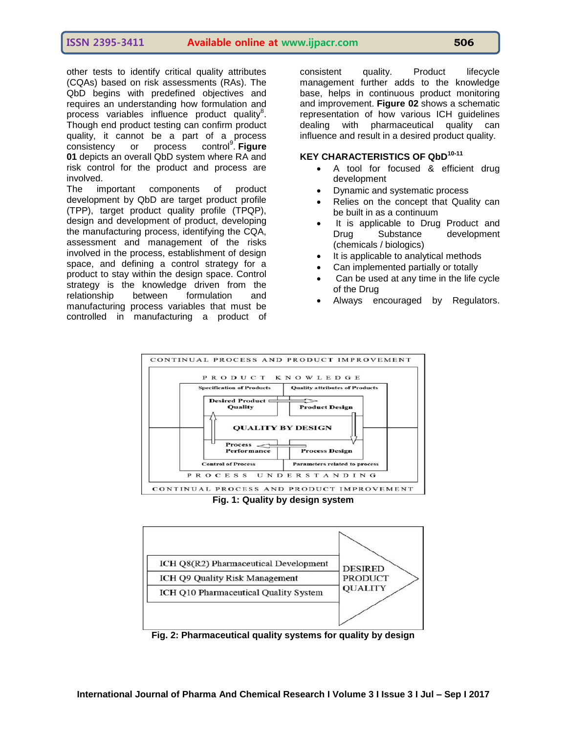**ISSN 2395-3411 Available online at www.ijpacr.com 506**

other tests to identify critical quality attributes (CQAs) based on risk assessments (RAs). The QbD begins with predefined objectives and requires an understanding how formulation and process variables influence product qualit[y](https://www.ncbi.nlm.nih.gov/pmc/articles/PMC4991121/#ref8) $8$ . Though end product testing can confirm product quality, it cannot be a part of a process consistency or process control<sup>9</sup> [.](https://www.ncbi.nlm.nih.gov/pmc/articles/PMC4991121/#ref9) **[Figure](https://www.ncbi.nlm.nih.gov/pmc/articles/PMC4991121/figure/F1/)  [01](https://www.ncbi.nlm.nih.gov/pmc/articles/PMC4991121/figure/F1/)** depicts an overall QbD system where RA and risk control for the product and process are involved.

The important components of product development by QbD are target product profile (TPP), target product quality profile (TPQP), design and development of product, developing the manufacturing process, identifying the CQA, assessment and management of the risks involved in the process, establishment of design space, and defining a control strategy for a product to stay within the design space. Control strategy is the knowledge driven from the relationship between formulation and manufacturing process variables that must be controlled in manufacturing a product of

consistent quality. Product lifecycle management further adds to the knowledge base, helps in continuous product monitoring and improvement. **[Figure 02](https://www.ncbi.nlm.nih.gov/pmc/articles/PMC4991121/figure/F2/)** shows a schematic representation of how various ICH guidelines dealing with pharmaceutical quality can influence and result in a desired product quality.

# **KEY CHARACTERISTICS OF QbD10-11**

- A tool for focused & efficient drug development
- Dynamic and systematic process
- Relies on the concept that Quality can be built in as a continuum
- It is applicable to Drug Product and Drug Substance development (chemicals / biologics)
- It is applicable to analytical methods
- Can implemented partially or totally
- Can be used at any time in the life cycle of the Drug
- Always encouraged by Regulators.



**Fig. 1: Quality by design system**



**Fig. 2: Pharmaceutical quality systems for quality by design**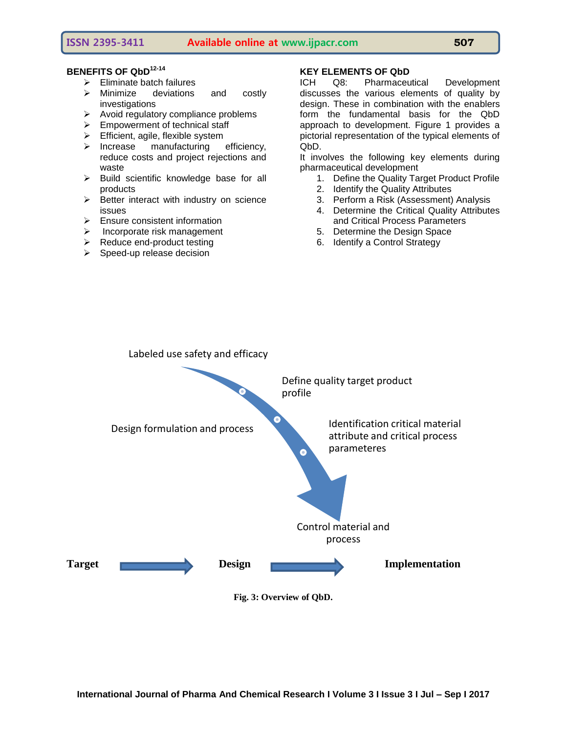# **BENEFITS OF QbD 12-14**

- $\triangleright$  Eliminate batch failures
- $\triangleright$  Minimize deviations and costly investigations
- $\triangleright$  Avoid regulatory compliance problems
- $\triangleright$  Empowerment of technical staff
- $\triangleright$  Efficient, agile, flexible system
- $\triangleright$  Increase manufacturing efficiency, reduce costs and project rejections and waste
- $\triangleright$  Build scientific knowledge base for all products
- $\triangleright$  Better interact with industry on science issues
- $\triangleright$  Ensure consistent information
- $\triangleright$  Incorporate risk management
- $\triangleright$  Reduce end-product testing
- $\triangleright$  Speed-up release decision

### **KEY ELEMENTS OF QbD**

ICH Q8: Pharmaceutical Development discusses the various elements of quality by design. These in combination with the enablers form the fundamental basis for the QbD approach to development. Figure 1 provides a pictorial representation of the typical elements of QbD.

It involves the following key elements during pharmaceutical development

- 1. Define the Quality Target Product Profile
- 2. Identify the Quality Attributes
- 3. Perform a Risk (Assessment) Analysis
- 4. Determine the Critical Quality Attributes and Critical Process Parameters
- 5. Determine the Design Space
- 6. Identify a Control Strategy

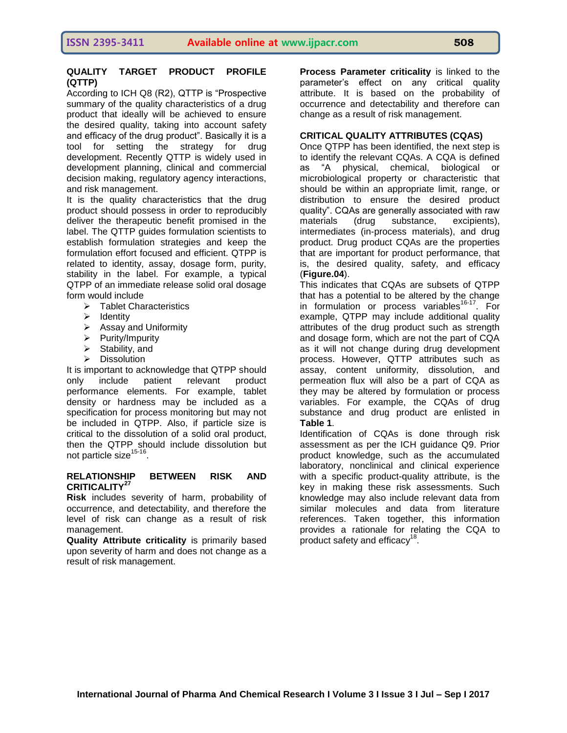## **QUALITY TARGET PRODUCT PROFILE (QTTP)**

According to ICH Q8 (R2), QTTP is "Prospective summary of the quality characteristics of a drug product that ideally will be achieved to ensure the desired quality, taking into account safety and efficacy of the drug product". Basically it is a tool for setting the strategy for drug development. Recently QTTP is widely used in development planning, clinical and commercial decision making, regulatory agency interactions, and risk management.

It is the quality characteristics that the drug product should possess in order to reproducibly deliver the therapeutic benefit promised in the label. The QTTP guides formulation scientists to establish formulation strategies and keep the formulation effort focused and efficient. QTPP is related to identity, assay, dosage form, purity, stability in the label. For example, a typical QTPP of an immediate release solid oral dosage form would include

- > Tablet Characteristics
- $\triangleright$  Identity
- $\triangleright$  Assay and Uniformity
- $\triangleright$  Purity/Impurity
- $\triangleright$  Stability, and
- $\triangleright$  Dissolution

It is important to acknowledge that QTPP should only include patient relevant product performance elements. For example, tablet density or hardness may be included as a specification for process monitoring but may not be included in QTPP. Also, if particle size is critical to the dissolution of a solid oral product, then the QTPP should include dissolution but not particle size<sup>15-16</sup>.

## **RELATIONSHIP BETWEEN RISK AND CRITICALITY<sup>27</sup>**

**Risk** includes severity of harm, probability of occurrence, and detectability, and therefore the level of risk can change as a result of risk management.

**Quality Attribute criticality** is primarily based upon severity of harm and does not change as a result of risk management.

**Process Parameter criticality** is linked to the parameter's effect on any critical quality attribute. It is based on the probability of occurrence and detectability and therefore can change as a result of risk management.

### **CRITICAL QUALITY ATTRIBUTES (CQAS)**

Once QTPP has been identified, the next step is to identify the relevant CQAs. A CQA is defined as "A physical, chemical, biological or microbiological property or characteristic that should be within an appropriate limit, range, or distribution to ensure the desired product quality". CQAs are generally associated with raw materials (drug substance, excipients), intermediates (in-process materials), and drug product. Drug product CQAs are the properties that are important for product performance, that is, the desired quality, safety, and efficacy (**Figure.04**).

This indicates that CQAs are subsets of QTPP that has a potential to be altered by the change in formulation or process variables<sup>16-17</sup>. For example, QTPP may include additional quality attributes of the drug product such as strength and dosage form, which are not the part of CQA as it will not change during drug development process. However, QTTP attributes such as assay, content uniformity, dissolution, and permeation flux will also be a part of CQA as they may be altered by formulation or process variables. For example, the CQAs of drug substance and drug product are enlisted in **Table 1**.

Identification of CQAs is done through risk assessment as per the ICH guidance Q9. Prior product knowledge, such as the accumulated laboratory, nonclinical and clinical experience with a specific product-quality attribute, is the key in making these risk assessments. Such knowledge may also include relevant data from similar molecules and data from literature references. Taken together, this information provides a rationale for relating the CQA to .<br>product safety and efficacy<sup>18</sup>.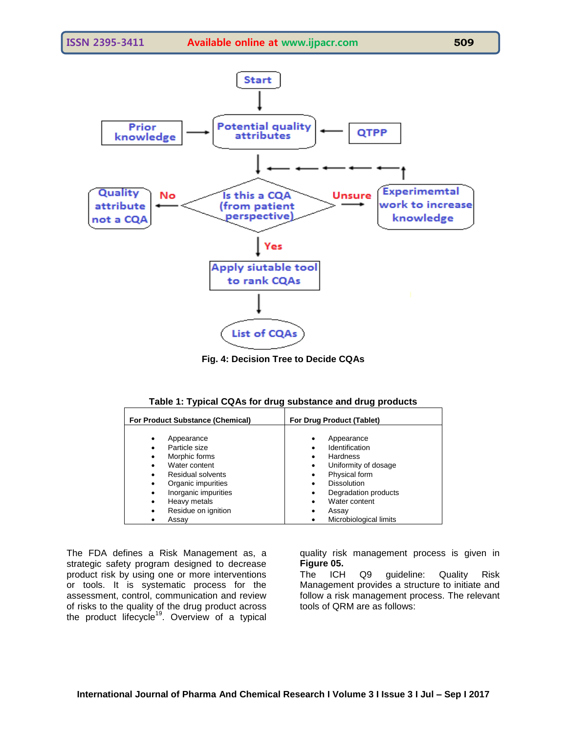

**Fig. 4: Decision Tree to Decide CQAs**

| <b>For Product Substance (Chemical)</b>                                                                                                                                                       | For Drug Product (Tablet)                                                                                                                                                                                                                                              |  |
|-----------------------------------------------------------------------------------------------------------------------------------------------------------------------------------------------|------------------------------------------------------------------------------------------------------------------------------------------------------------------------------------------------------------------------------------------------------------------------|--|
| Appearance<br>$\bullet$<br>Particle size<br>Morphic forms<br>Water content<br>Residual solvents<br>Organic impurities<br>Inorganic impurities<br>Heavy metals<br>Residue on ignition<br>Assav | Appearance<br>٠<br>Identification<br>Hardness<br>$\bullet$<br>Uniformity of dosage<br>$\bullet$<br>Physical form<br>$\bullet$<br><b>Dissolution</b><br>Degradation products<br>$\bullet$<br>Water content<br>$\bullet$<br>Assay<br>$\bullet$<br>Microbiological limits |  |

**Table 1: Typical CQAs for drug substance and drug products**

The FDA defines a Risk Management as, a strategic safety program designed to decrease product risk by using one or more interventions or tools. It is systematic process for the assessment, control, communication and review of risks to the quality of the drug product across the product lifecycle<sup>19</sup>. Overview of a typical quality risk management process is given in **Figure 05.**

The ICH Q9 guideline: Quality Risk Management provides a structure to initiate and follow a risk management process. The relevant tools of QRM are as follows: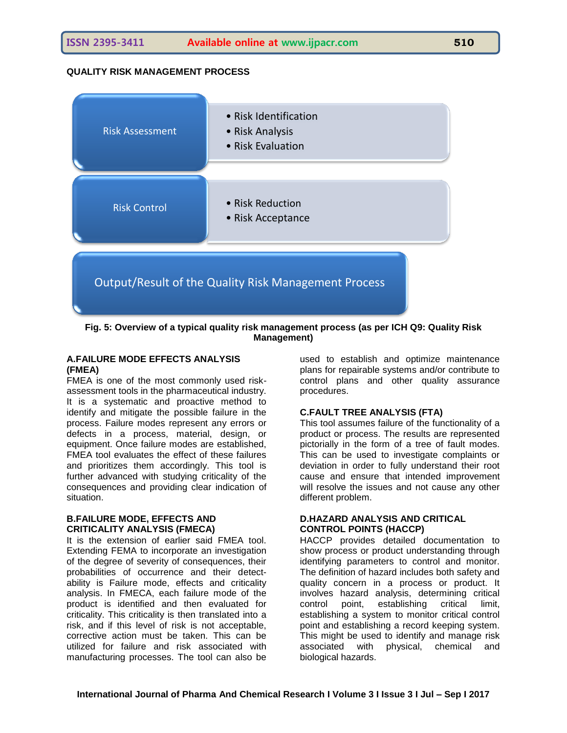# **QUALITY RISK MANAGEMENT PROCESS**



**Fig. 5: Overview of a typical quality risk management process (as per ICH Q9: Quality Risk Management)**

#### **A.FAILURE MODE EFFECTS ANALYSIS (FMEA)**

FMEA is one of the most commonly used riskassessment tools in the pharmaceutical industry. It is a systematic and proactive method to identify and mitigate the possible failure in the process. Failure modes represent any errors or defects in a process, material, design, or equipment. Once failure modes are established, FMEA tool evaluates the effect of these failures and prioritizes them accordingly. This tool is further advanced with studying criticality of the consequences and providing clear indication of situation.

## **B.FAILURE MODE, EFFECTS AND CRITICALITY ANALYSIS (FMECA)**

It is the extension of earlier said FMEA tool. Extending FEMA to incorporate an investigation of the degree of severity of consequences, their probabilities of occurrence and their detectability is Failure mode, effects and criticality analysis. In FMECA, each failure mode of the product is identified and then evaluated for criticality. This criticality is then translated into a risk, and if this level of risk is not acceptable, corrective action must be taken. This can be utilized for failure and risk associated with manufacturing processes. The tool can also be

used to establish and optimize maintenance plans for repairable systems and/or contribute to control plans and other quality assurance procedures.

#### **C.FAULT TREE ANALYSIS (FTA)**

This tool assumes failure of the functionality of a product or process. The results are represented pictorially in the form of a tree of fault modes. This can be used to investigate complaints or deviation in order to fully understand their root cause and ensure that intended improvement will resolve the issues and not cause any other different problem.

#### **D.HAZARD ANALYSIS AND CRITICAL CONTROL POINTS (HACCP)**

HACCP provides detailed documentation to show process or product understanding through identifying parameters to control and monitor. The definition of hazard includes both safety and quality concern in a process or product. It involves hazard analysis, determining critical control point, establishing critical limit, establishing a system to monitor critical control point and establishing a record keeping system. This might be used to identify and manage risk associated with physical, chemical and biological hazards.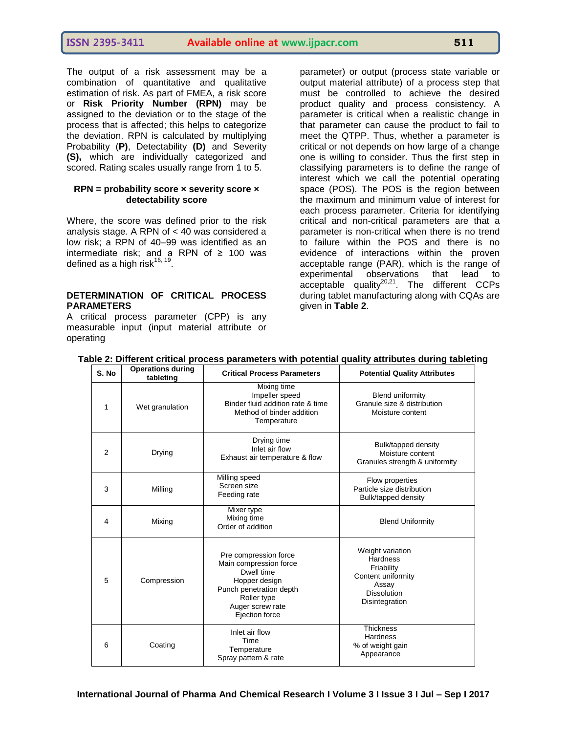The output of a risk assessment may be a combination of quantitative and qualitative estimation of risk. As part of FMEA, a risk score or **Risk Priority Number (RPN)** may be assigned to the deviation or to the stage of the process that is affected; this helps to categorize the deviation. RPN is calculated by multiplying Probability (**P)**, Detectability **(D)** and Severity **(S),** which are individually categorized and scored. Rating scales usually range from 1 to 5.

#### **RPN = probability score × severity score × detectability score**

Where, the score was defined prior to the risk analysis stage. A RPN of < 40 was considered a low risk; a RPN of 40–99 was identified as an intermediate risk; and a RPN of  $\geq$  100 was defined as a high risk $^{16,~19}.$ 

#### **DETERMINATION OF CRITICAL PROCESS PARAMETERS**

A critical process parameter (CPP) is any measurable input (input material attribute or operating

parameter) or output (process state variable or output material attribute) of a process step that must be controlled to achieve the desired product quality and process consistency. A parameter is critical when a realistic change in that parameter can cause the product to fail to meet the QTPP. Thus, whether a parameter is critical or not depends on how large of a change one is willing to consider. Thus the first step in classifying parameters is to define the range of interest which we call the potential operating space (POS). The POS is the region between the maximum and minimum value of interest for each process parameter. Criteria for identifying critical and non-critical parameters are that a parameter is non-critical when there is no trend to failure within the POS and there is no evidence of interactions within the proven acceptable range (PAR), which is the range of experimental observations that lead to acceptable quality<sup>20,21</sup>. The different CCPs during tablet manufacturing along with CQAs are given in **Table 2**.

| S. No          | <b>Operations during</b><br>tableting | <b>Critical Process Parameters</b>                                                                                                                             | <b>Potential Quality Attributes</b>                                                                                      |
|----------------|---------------------------------------|----------------------------------------------------------------------------------------------------------------------------------------------------------------|--------------------------------------------------------------------------------------------------------------------------|
| 1              | Wet granulation                       | Mixing time<br>Impeller speed<br>Binder fluid addition rate & time<br>Method of binder addition<br>Temperature                                                 | <b>Blend uniformity</b><br>Granule size & distribution<br>Moisture content                                               |
| $\mathfrak{p}$ | Drying                                | Drying time<br>Inlet air flow<br>Exhaust air temperature & flow                                                                                                | Bulk/tapped density<br>Moisture content<br>Granules strength & uniformity                                                |
| 3              | Milling                               | Milling speed<br>Screen size<br>Feeding rate                                                                                                                   | Flow properties<br>Particle size distribution<br>Bulk/tapped density                                                     |
| 4              | Mixing                                | Mixer type<br>Mixing time<br>Order of addition                                                                                                                 | <b>Blend Uniformity</b>                                                                                                  |
| 5              | Compression                           | Pre compression force<br>Main compression force<br>Dwell time<br>Hopper design<br>Punch penetration depth<br>Roller type<br>Auger screw rate<br>Ejection force | Weight variation<br><b>Hardness</b><br>Friability<br>Content uniformity<br>Assay<br><b>Dissolution</b><br>Disintegration |
| 6              | Coating                               | Inlet air flow<br>Time<br>Temperature<br>Spray pattern & rate                                                                                                  | <b>Thickness</b><br><b>Hardness</b><br>% of weight gain<br>Appearance                                                    |

#### **Table 2: Different critical process parameters with potential quality attributes during tableting**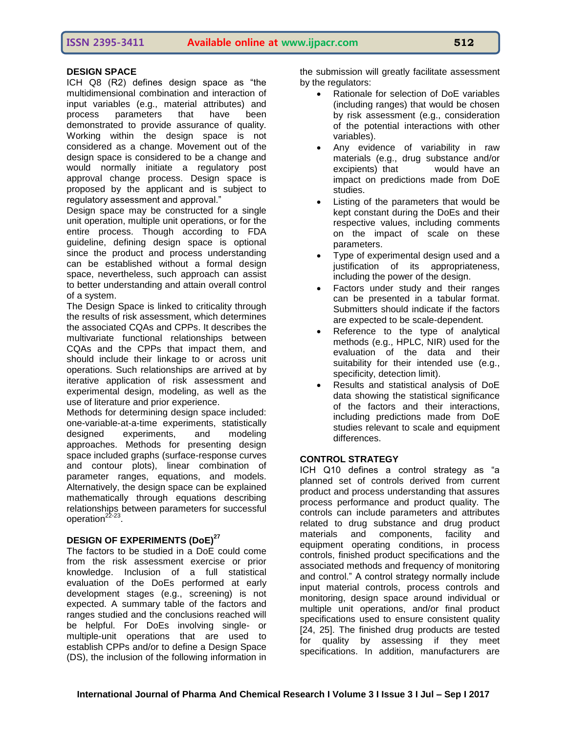## **DESIGN SPACE**

ICH Q8 (R2) defines design space as "the multidimensional combination and interaction of input variables (e.g., material attributes) and process parameters that have been demonstrated to provide assurance of quality. Working within the design space is not considered as a change. Movement out of the design space is considered to be a change and would normally initiate a regulatory post approval change process. Design space is proposed by the applicant and is subject to regulatory assessment and approval."

Design space may be constructed for a single unit operation, multiple unit operations, or for the entire process. Though according to FDA guideline, defining design space is optional since the product and process understanding can be established without a formal design space, nevertheless, such approach can assist to better understanding and attain overall control of a system.

The Design Space is linked to criticality through the results of risk assessment, which determines the associated CQAs and CPPs. It describes the multivariate functional relationships between CQAs and the CPPs that impact them, and should include their linkage to or across unit operations. Such relationships are arrived at by iterative application of risk assessment and experimental design, modeling, as well as the use of literature and prior experience.

Methods for determining design space included: one-variable-at-a-time experiments, statistically designed experiments, and modeling approaches. Methods for presenting design space included graphs (surface-response curves and contour plots), linear combination of parameter ranges, equations, and models. Alternatively, the design space can be explained mathematically through equations describing relationships between parameters for successful operation<sup>22-23</sup>.

## **DESIGN OF EXPERIMENTS (DoE)<sup>27</sup>**

The factors to be studied in a DoE could come from the risk assessment exercise or prior knowledge. Inclusion of a full statistical evaluation of the DoEs performed at early development stages (e.g., screening) is not expected. A summary table of the factors and ranges studied and the conclusions reached will be helpful. For DoEs involving single- or multiple-unit operations that are used to establish CPPs and/or to define a Design Space (DS), the inclusion of the following information in

the submission will greatly facilitate assessment by the regulators:

- Rationale for selection of DoE variables (including ranges) that would be chosen by risk assessment (e.g., consideration of the potential interactions with other variables).
- Any evidence of variability in raw materials (e.g., drug substance and/or excipients) that would have an impact on predictions made from DoE studies.
- Listing of the parameters that would be kept constant during the DoEs and their respective values, including comments on the impact of scale on these parameters.
- Type of experimental design used and a justification of its appropriateness, including the power of the design.
- Factors under study and their ranges can be presented in a tabular format. Submitters should indicate if the factors are expected to be scale-dependent.
- Reference to the type of analytical methods (e.g., HPLC, NIR) used for the evaluation of the data and their suitability for their intended use (e.g., specificity, detection limit).
- Results and statistical analysis of DoE data showing the statistical significance of the factors and their interactions, including predictions made from DoE studies relevant to scale and equipment differences.

## **CONTROL STRATEGY**

ICH Q10 defines a control strategy as "a planned set of controls derived from current product and process understanding that assures process performance and product quality. The controls can include parameters and attributes related to drug substance and drug product<br>materials and components, facility and and components, facility and equipment operating conditions, in process controls, finished product specifications and the associated methods and frequency of monitoring and control." A control strategy normally include input material controls, process controls and monitoring, design space around individual or multiple unit operations, and/or final product specifications used to ensure consistent quality [24, 25]. The finished drug products are tested for quality by assessing if they meet specifications. In addition, manufacturers are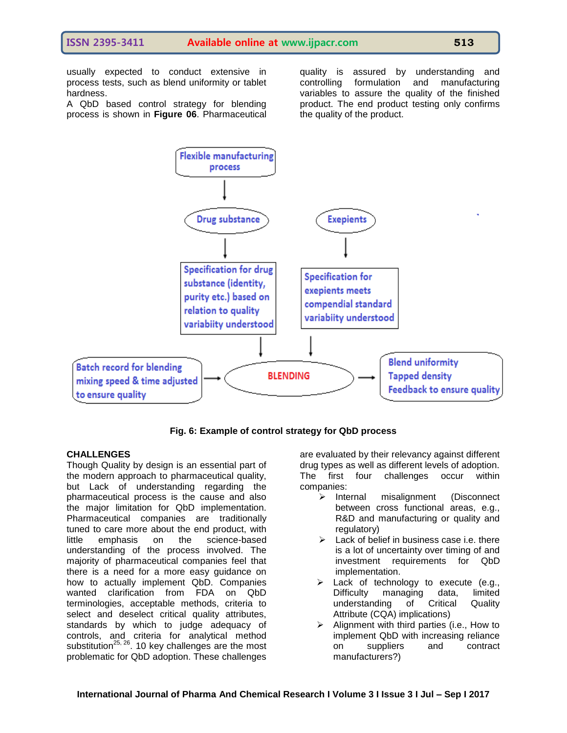usually expected to conduct extensive in process tests, such as blend uniformity or tablet hardness.

A QbD based control strategy for blending process is shown in **Figure 06**. Pharmaceutical quality is assured by understanding and controlling formulation and manufacturing variables to assure the quality of the finished product. The end product testing only confirms the quality of the product.



**Fig. 6: Example of control strategy for QbD process**

#### **CHALLENGES**

Though Quality by design is an essential part of the modern approach to pharmaceutical quality, but Lack of understanding regarding the pharmaceutical process is the cause and also the major limitation for QbD implementation. Pharmaceutical companies are traditionally tuned to care more about the end product, with little emphasis on the science-based understanding of the process involved. The majority of pharmaceutical companies feel that there is a need for a more easy guidance on how to actually implement QbD. Companies wanted clarification from FDA on QbD terminologies, acceptable methods, criteria to select and deselect critical quality attributes, standards by which to judge adequacy of controls, and criteria for analytical method substitution<sup>25, 26</sup>. 10 key challenges are the most problematic for QbD adoption. These challenges

are evaluated by their relevancy against different drug types as well as different levels of adoption. The first four challenges occur within companies:

- $\triangleright$  Internal misalignment (Disconnect between cross functional areas, e.g., R&D and manufacturing or quality and regulatory)
- $\triangleright$  Lack of belief in business case i.e. there is a lot of uncertainty over timing of and investment requirements for QbD implementation.
- $\triangleright$  Lack of technology to execute (e.g., Difficulty managing data, limited understanding of Critical Quality Attribute (CQA) implications)
- $\triangleright$  Alignment with third parties (i.e., How to implement QbD with increasing reliance on suppliers and contract manufacturers?)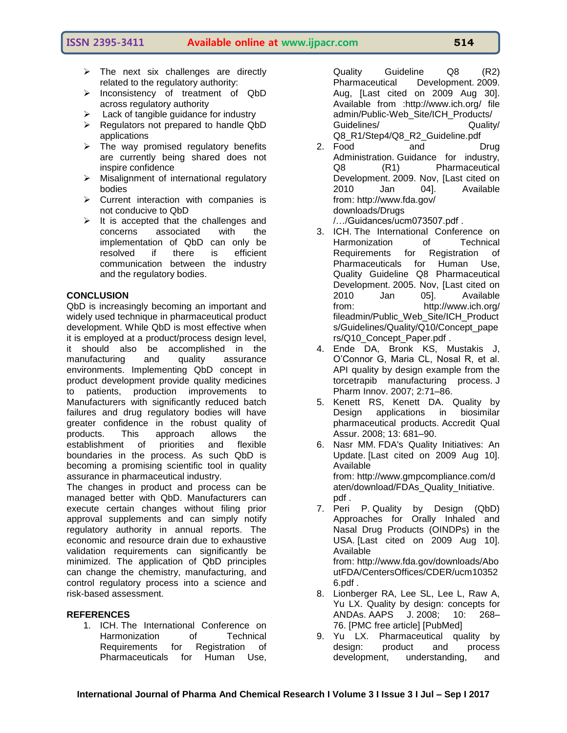## **ISSN 2395-3411 Available online at www.ijpacr.com 514**

- $\triangleright$  The next six challenges are directly related to the regulatory authority:
- > Inconsistency of treatment of QbD across regulatory authority
- $\triangleright$  Lack of tangible guidance for industry
- $\triangleright$  Regulators not prepared to handle QbD applications
- $\triangleright$  The way promised regulatory benefits are currently being shared does not inspire confidence
- $\triangleright$  Misalignment of international regulatory bodies
- $\triangleright$  Current interaction with companies is not conducive to QbD
- $\triangleright$  It is accepted that the challenges and concerns associated with the implementation of QbD can only be resolved if there is efficient communication between the industry and the regulatory bodies.

## **CONCLUSION**

QbD is increasingly becoming an important and widely used technique in pharmaceutical product development. While QbD is most effective when it is employed at a product/process design level, it should also be accomplished in the manufacturing and quality assurance environments. Implementing QbD concept in product development provide quality medicines to patients, production improvements to Manufacturers with significantly reduced batch failures and drug regulatory bodies will have greater confidence in the robust quality of products. This approach allows the establishment of priorities and flexible boundaries in the process. As such QbD is becoming a promising scientific tool in quality assurance in pharmaceutical industry.

The changes in product and process can be managed better with QbD. Manufacturers can execute certain changes without filing prior approval supplements and can simply notify regulatory authority in annual reports. The economic and resource drain due to exhaustive validation requirements can significantly be minimized. The application of QbD principles can change the chemistry, manufacturing, and control regulatory process into a science and risk-based assessment.

#### **REFERENCES**

1. ICH. The International Conference on Harmonization of Technical Requirements for Registration of Pharmaceuticals for Human Use, Quality Guideline Q8 (R2) Pharmaceutical Development. 2009. Aug, [Last cited on 2009 Aug 30]. Available from [:http://www.ich.org/ file](http://www.ich.org/%20file%20admin/Public-Web_Site/ICH_Products/%20Guidelines/%20Quality/%20Q8_R1/Step4/Q8_R2_Guideline.pdf)  [admin/Public-Web\\_Site/ICH\\_Products/](http://www.ich.org/%20file%20admin/Public-Web_Site/ICH_Products/%20Guidelines/%20Quality/%20Q8_R1/Step4/Q8_R2_Guideline.pdf)  [Guidelines/ Quality/](http://www.ich.org/%20file%20admin/Public-Web_Site/ICH_Products/%20Guidelines/%20Quality/%20Q8_R1/Step4/Q8_R2_Guideline.pdf)  [Q8\\_R1/Step4/Q8\\_R2\\_Guideline.pdf](http://www.ich.org/%20file%20admin/Public-Web_Site/ICH_Products/%20Guidelines/%20Quality/%20Q8_R1/Step4/Q8_R2_Guideline.pdf)

2. Food and Drug Administration. Guidance for industry, Q8 (R1) Pharmaceutical Development. 2009. Nov, [Last cited on 2010 Jan 04]. Available from: [http://www.fda.gov/](http://www.fda.gov/%20downloads/Drugs%20/…/Guidances/ucm073507.pdf)  [downloads/Drugs](http://www.fda.gov/%20downloads/Drugs%20/…/Guidances/ucm073507.pdf) 

[/…/Guidances/ucm073507.pdf](http://www.fda.gov/%20downloads/Drugs%20/…/Guidances/ucm073507.pdf) .

- 3. ICH. The International Conference on Harmonization of Technical Requirements for Registration of Pharmaceuticals for Human Use, Quality Guideline Q8 Pharmaceutical Development. 2005. Nov, [Last cited on 2010 Jan 05]. Available from: [http://www.ich.org/](http://www.ich.org/%20fileadmin/Public_Web_Site/ICH_Products/Guidelines/Quality/Q10/Concept_papers/Q10_Concept_Paper.pdf)  [fileadmin/Public\\_Web\\_Site/ICH\\_Product](http://www.ich.org/%20fileadmin/Public_Web_Site/ICH_Products/Guidelines/Quality/Q10/Concept_papers/Q10_Concept_Paper.pdf) [s/Guidelines/Quality/Q10/Concept\\_pape](http://www.ich.org/%20fileadmin/Public_Web_Site/ICH_Products/Guidelines/Quality/Q10/Concept_papers/Q10_Concept_Paper.pdf) [rs/Q10\\_Concept\\_Paper.pdf](http://www.ich.org/%20fileadmin/Public_Web_Site/ICH_Products/Guidelines/Quality/Q10/Concept_papers/Q10_Concept_Paper.pdf) .
- 4. Ende DA, Bronk KS, Mustakis J, O'Connor G, Maria CL, Nosal R, et al. API quality by design example from the torcetrapib manufacturing process. J Pharm Innov. 2007; 2:71–86.
- 5. Kenett RS, Kenett DA. Quality by Design applications in biosimilar pharmaceutical products. Accredit Qual Assur. 2008; 13: 681–90.
- 6. Nasr MM. FDA's Quality Initiatives: An Update. [Last cited on 2009 Aug 10]. Available from: [http://www.gmpcompliance.com/d](http://www.gmpcompliance.com/daten/download/FDAs_Quality_Initiative.pdf) [aten/download/FDAs\\_Quality\\_Initiative.](http://www.gmpcompliance.com/daten/download/FDAs_Quality_Initiative.pdf) [pdf](http://www.gmpcompliance.com/daten/download/FDAs_Quality_Initiative.pdf) .
- 7. Peri P. Quality by Design (QbD) Approaches for Orally Inhaled and Nasal Drug Products (OINDPs) in the USA. [Last cited on 2009 Aug 10]. Available from: [http://www.fda.gov/downloads/Abo](http://www.fda.gov/downloads/AboutFDA/CentersOffices/CDER/ucm103526.pdf) [utFDA/CentersOffices/CDER/ucm10352](http://www.fda.gov/downloads/AboutFDA/CentersOffices/CDER/ucm103526.pdf) [6.pdf](http://www.fda.gov/downloads/AboutFDA/CentersOffices/CDER/ucm103526.pdf) .
- 8. Lionberger RA, Lee SL, Lee L, Raw A, Yu LX. Quality by design: concepts for ANDAs. AAPS J. 2008; 10: 268– 76. [\[PMC free article\]](https://www.ncbi.nlm.nih.gov/pmc/articles/PMC2751376/) [\[PubMed\]](https://www.ncbi.nlm.nih.gov/pubmed/18465252)
- 9. Yu LX. Pharmaceutical quality by design: product and process development, understanding, and